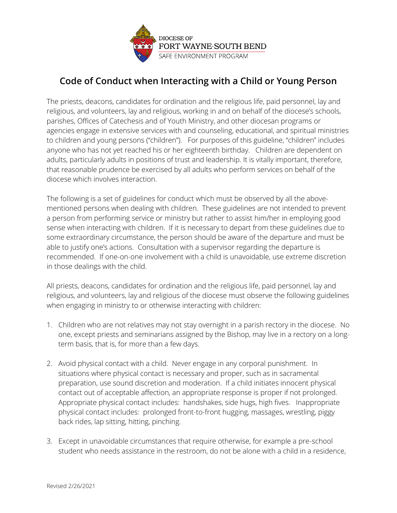

## **Code of Conduct when Interacting with a Child or Young Person**

The priests, deacons, candidates for ordination and the religious life, paid personnel, lay and religious, and volunteers, lay and religious, working in and on behalf of the diocese's schools, parishes, Offices of Catechesis and of Youth Ministry, and other diocesan programs or agencies engage in extensive services with and counseling, educational, and spiritual ministries to children and young persons ("children"). For purposes of this guideline, "children" includes anyone who has not yet reached his or her eighteenth birthday. Children are dependent on adults, particularly adults in positions of trust and leadership. It is vitally important, therefore, that reasonable prudence be exercised by all adults who perform services on behalf of the diocese which involves interaction.

The following is a set of guidelines for conduct which must be observed by all the abovementioned persons when dealing with children. These guidelines are not intended to prevent a person from performing service or ministry but rather to assist him/her in employing good sense when interacting with children. If it is necessary to depart from these guidelines due to some extraordinary circumstance, the person should be aware of the departure and must be able to justify one's actions. Consultation with a supervisor regarding the departure is recommended. If one-on-one involvement with a child is unavoidable, use extreme discretion in those dealings with the child.

All priests, deacons, candidates for ordination and the religious life, paid personnel, lay and religious, and volunteers, lay and religious of the diocese must observe the following guidelines when engaging in ministry to or otherwise interacting with children:

- 1. Children who are not relatives may not stay overnight in a parish rectory in the diocese. No one, except priests and seminarians assigned by the Bishop, may live in a rectory on a longterm basis, that is, for more than a few days.
- 2. Avoid physical contact with a child. Never engage in any corporal punishment. In situations where physical contact is necessary and proper, such as in sacramental preparation, use sound discretion and moderation. If a child initiates innocent physical contact out of acceptable affection, an appropriate response is proper if not prolonged. Appropriate physical contact includes: handshakes, side hugs, high fives. Inappropriate physical contact includes: prolonged front-to-front hugging, massages, wrestling, piggy back rides, lap sitting, hitting, pinching.
- 3. Except in unavoidable circumstances that require otherwise, for example a pre-school student who needs assistance in the restroom, do not be alone with a child in a residence,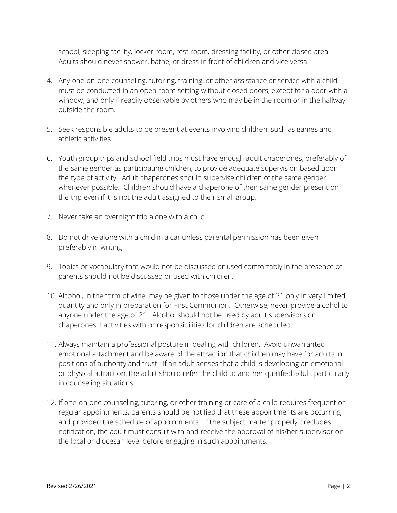school, sleeping facility, locker room, rest room, dressing facility, or other closed area. Adults should never shower, bathe, or dress in front of children and vice versa.

- 4. Any one-on-one counseling, tutoring, training, or other assistance or service with a child must be conducted in an open room setting without closed doors, except for a door with a window, and only if readily observable by others who may be in the room or in the hallway outside the room.
- 5. Seek responsible adults to be present at events involving children, such as games and athletic activities.
- 6. Youth group trips and school field trips must have enough adult chaperones, preferably of the same gender as participating children, to provide adequate supervision based upon the type of activity. Adult chaperones should supervise children of the same gender whenever possible. Children should have a chaperone of their same gender present on the trip even if it is not the adult assigned to their small group.
- 7. Never take an overnight trip alone with a child.
- 8. Do not drive alone with a child in a car unless parental permission has been given, preferably in writing.
- 9. Topics or vocabulary that would not be discussed or used comfortably in the presence of parents should not be discussed or used with children.
- 10. Alcohol, in the form of wine, may be given to those under the age of 21 only in very limited quantity and only in preparation for First Communion. Otherwise, never provide alcohol to anyone under the age of 21. Alcohol should not be used by adult supervisors or chaperones if activities with or responsibilities for children are scheduled.
- 11. Always maintain a professional posture in dealing with children. Avoid unwarranted emotional attachment and be aware of the attraction that children may have for adults in positions of authority and trust. If an adult senses that a child is developing an emotional or physical attraction, the adult should refer the child to another qualified adult, particularly in counseling situations.
- 12. If one-on-one counseling, tutoring, or other training or care of a child requires frequent or regular appointments, parents should be notified that these appointments are occurring and provided the schedule of appointments. If the subject matter properly precludes notification, the adult must consult with and receive the approval of his/her supervisor on the local or diocesan level before engaging in such appointments.